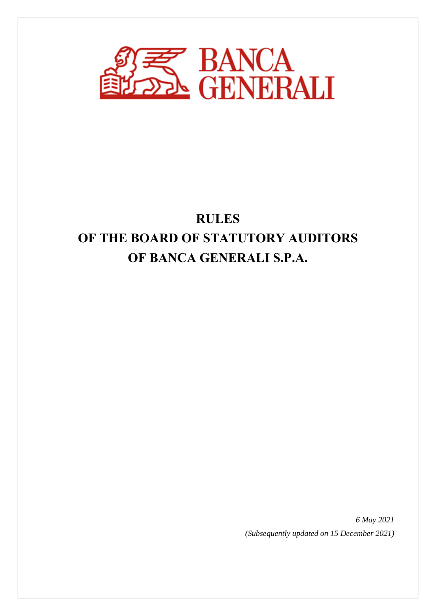

# **RULES OF THE BOARD OF STATUTORY AUDITORS OF BANCA GENERALI S.P.A.**

*6 May 2021 (Subsequently updated on 15 December 2021)*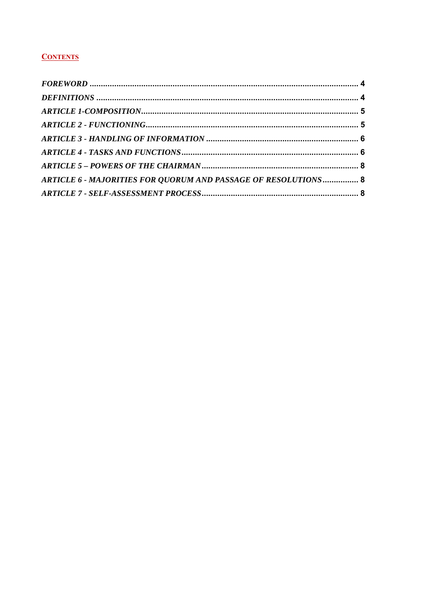# **CONTENTS**

|  |  | ARTICLE 6 - MAJORITIES FOR QUORUM AND PASSAGE OF RESOLUTIONS  8 |  |
|--|--|-----------------------------------------------------------------|--|
|  |  |                                                                 |  |
|  |  |                                                                 |  |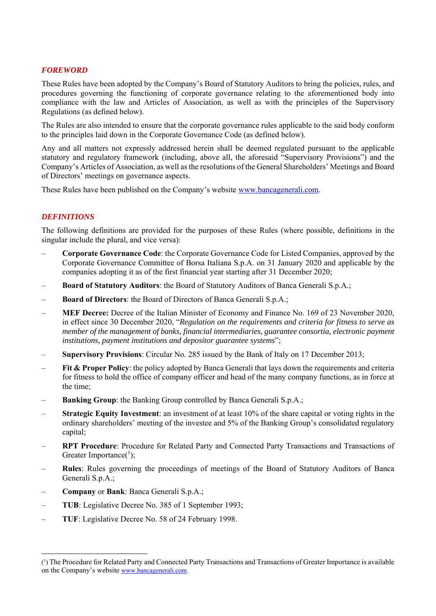#### *FOREWORD*

These Rules have been adopted by the Company's Board of Statutory Auditors to bring the policies, rules, and procedures governing the functioning of corporate governance relating to the aforementioned body into compliance with the law and Articles of Association, as well as with the principles of the Supervisory Regulations (as defined below).

The Rules are also intended to ensure that the corporate governance rules applicable to the said body conform to the principles laid down in the Corporate Governance Code (as defined below).

Any and all matters not expressly addressed herein shall be deemed regulated pursuant to the applicable statutory and regulatory framework (including, above all, the aforesaid "Supervisory Provisions") and the Company's Articles of Association, as well as the resolutions of the General Shareholders' Meetings and Board of Directors' meetings on governance aspects.

These Rules have been published on the Company's website www.bancagenerali.com.

## *DEFINITIONS*

The following definitions are provided for the purposes of these Rules (where possible, definitions in the singular include the plural, and vice versa):

- ‒ **Corporate Governance Code**: the Corporate Governance Code for Listed Companies, approved by the Corporate Governance Committee of Borsa Italiana S.p.A. on 31 January 2020 and applicable by the companies adopting it as of the first financial year starting after 31 December 2020;
- ‒ **Board of Statutory Auditors**: the Board of Statutory Auditors of Banca Generali S.p.A.;
- ‒ **Board of Directors**: the Board of Directors of Banca Generali S.p.A.;
- ‒ **MEF Decree:** Decree of the Italian Minister of Economy and Finance No. 169 of 23 November 2020, in effect since 30 December 2020, "*Regulation on the requirements and criteria for fitness to serve as member of the management of banks, financial intermediaries, guarantee consortia, electronic payment institutions, payment institutions and depositor guarantee systems*";
- ‒ **Supervisory Provisions**: Circular No. 285 issued by the Bank of Italy on 17 December 2013;
- Fit & Proper Policy: the policy adopted by Banca Generali that lays down the requirements and criteria for fitness to hold the office of company officer and head of the many company functions, as in force at the time;
- **Banking Group**: the Banking Group controlled by Banca Generali S.p.A.;
- ‒ **Strategic Equity Investment**: an investment of at least 10% of the share capital or voting rights in the ordinary shareholders' meeting of the investee and 5% of the Banking Group's consolidated regulatory capital;
- ‒ **RPT Procedure**: Procedure for Related Party and Connected Party Transactions and Transactions of Greater Importance( $\frac{1}{1}$ );
- ‒ **Rules**: Rules governing the proceedings of meetings of the Board of Statutory Auditors of Banca Generali S.p.A.;
- ‒ **Company** or **Bank**: Banca Generali S.p.A.;

- ‒ **TUB**: Legislative Decree No. 385 of 1 September 1993;
- ‒ **TUF**: Legislative Decree No. 58 of 24 February 1998.

<sup>(1)</sup> The Procedure for Related Party and Connected Party Transactions and Transactions of Greater Importance is available on the Company's website www.bancagenerali.com.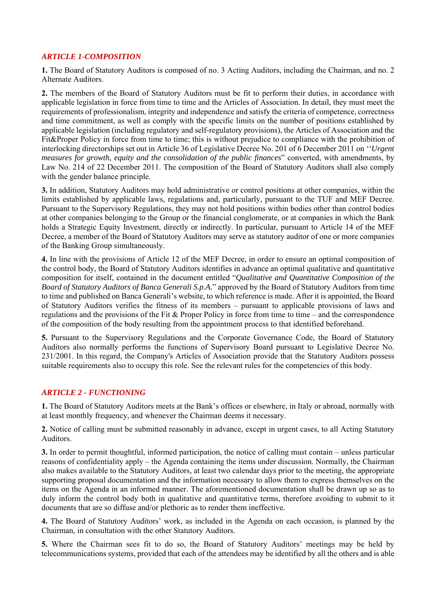## *ARTICLE 1-COMPOSITION*

**1.** The Board of Statutory Auditors is composed of no. 3 Acting Auditors, including the Chairman, and no. 2 Alternate Auditors.

**2.** The members of the Board of Statutory Auditors must be fit to perform their duties, in accordance with applicable legislation in force from time to time and the Articles of Association. In detail, they must meet the requirements of professionalism, integrity and independence and satisfy the criteria of competence, correctness and time commitment, as well as comply with the specific limits on the number of positions established by applicable legislation (including regulatory and self-regulatory provisions), the Articles of Association and the Fit&Proper Policy in force from time to time; this is without prejudice to compliance with the prohibition of interlocking directorships set out in Article 36 of Legislative Decree No. 201 of 6 December 2011 on *''Urgent measures for growth, equity and the consolidation of the public finances*" converted, with amendments, by Law No. 214 of 22 December 2011. The composition of the Board of Statutory Auditors shall also comply with the gender balance principle.

**3.** In addition, Statutory Auditors may hold administrative or control positions at other companies, within the limits established by applicable laws, regulations and, particularly, pursuant to the TUF and MEF Decree. Pursuant to the Supervisory Regulations, they may not hold positions within bodies other than control bodies at other companies belonging to the Group or the financial conglomerate, or at companies in which the Bank holds a Strategic Equity Investment, directly or indirectly. In particular, pursuant to Article 14 of the MEF Decree, a member of the Board of Statutory Auditors may serve as statutory auditor of one or more companies of the Banking Group simultaneously.

**4.** In line with the provisions of Article 12 of the MEF Decree, in order to ensure an optimal composition of the control body, the Board of Statutory Auditors identifies in advance an optimal qualitative and quantitative composition for itself, contained in the document entitled "*Qualitative and Quantitative Composition of the Board of Statutory Auditors of Banca Generali S.p.A.*" approved by the Board of Statutory Auditors from time to time and published on Banca Generali's website, to which reference is made. After it is appointed, the Board of Statutory Auditors verifies the fitness of its members – pursuant to applicable provisions of laws and regulations and the provisions of the Fit & Proper Policy in force from time to time – and the correspondence of the composition of the body resulting from the appointment process to that identified beforehand.

**5.** Pursuant to the Supervisory Regulations and the Corporate Governance Code, the Board of Statutory Auditors also normally performs the functions of Supervisory Board pursuant to Legislative Decree No. 231/2001. In this regard, the Company's Articles of Association provide that the Statutory Auditors possess suitable requirements also to occupy this role. See the relevant rules for the competencies of this body.

#### *ARTICLE 2 - FUNCTIONING*

**1.** The Board of Statutory Auditors meets at the Bank's offices or elsewhere, in Italy or abroad, normally with at least monthly frequency, and whenever the Chairman deems it necessary.

**2.** Notice of calling must be submitted reasonably in advance, except in urgent cases, to all Acting Statutory Auditors.

**3.** In order to permit thoughtful, informed participation, the notice of calling must contain – unless particular reasons of confidentiality apply – the Agenda containing the items under discussion. Normally, the Chairman also makes available to the Statutory Auditors, at least two calendar days prior to the meeting, the appropriate supporting proposal documentation and the information necessary to allow them to express themselves on the items on the Agenda in an informed manner. The aforementioned documentation shall be drawn up so as to duly inform the control body both in qualitative and quantitative terms, therefore avoiding to submit to it documents that are so diffuse and/or plethoric as to render them ineffective.

**4.** The Board of Statutory Auditors' work, as included in the Agenda on each occasion, is planned by the Chairman, in consultation with the other Statutory Auditors.

**5.** Where the Chairman sees fit to do so, the Board of Statutory Auditors' meetings may be held by telecommunications systems, provided that each of the attendees may be identified by all the others and is able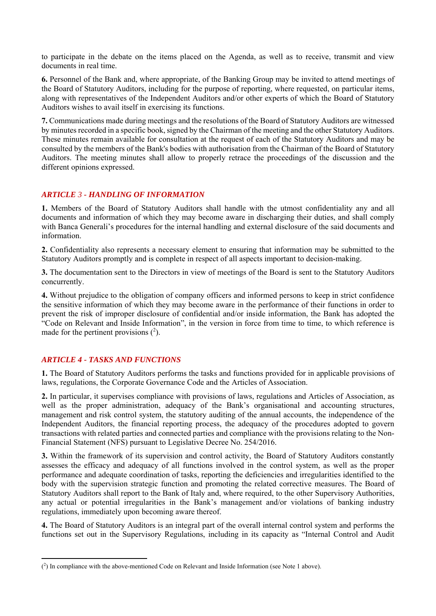to participate in the debate on the items placed on the Agenda, as well as to receive, transmit and view documents in real time.

**6.** Personnel of the Bank and, where appropriate, of the Banking Group may be invited to attend meetings of the Board of Statutory Auditors, including for the purpose of reporting, where requested, on particular items, along with representatives of the Independent Auditors and/or other experts of which the Board of Statutory Auditors wishes to avail itself in exercising its functions.

**7.** Communications made during meetings and the resolutions of the Board of Statutory Auditors are witnessed by minutes recorded in a specific book, signed by the Chairman of the meeting and the other Statutory Auditors. These minutes remain available for consultation at the request of each of the Statutory Auditors and may be consulted by the members of the Bank's bodies with authorisation from the Chairman of the Board of Statutory Auditors. The meeting minutes shall allow to properly retrace the proceedings of the discussion and the different opinions expressed.

## *ARTICLE 3 - HANDLING OF INFORMATION*

**1.** Members of the Board of Statutory Auditors shall handle with the utmost confidentiality any and all documents and information of which they may become aware in discharging their duties, and shall comply with Banca Generali's procedures for the internal handling and external disclosure of the said documents and information.

**2.** Confidentiality also represents a necessary element to ensuring that information may be submitted to the Statutory Auditors promptly and is complete in respect of all aspects important to decision-making.

**3.** The documentation sent to the Directors in view of meetings of the Board is sent to the Statutory Auditors concurrently.

**4.** Without prejudice to the obligation of company officers and informed persons to keep in strict confidence the sensitive information of which they may become aware in the performance of their functions in order to prevent the risk of improper disclosure of confidential and/or inside information, the Bank has adopted the "Code on Relevant and Inside Information", in the version in force from time to time, to which reference is made for the pertinent provisions  $(^2)$ .

## *ARTICLE 4 - TASKS AND FUNCTIONS*

**1.** The Board of Statutory Auditors performs the tasks and functions provided for in applicable provisions of laws, regulations, the Corporate Governance Code and the Articles of Association.

**2.** In particular, it supervises compliance with provisions of laws, regulations and Articles of Association, as well as the proper administration, adequacy of the Bank's organisational and accounting structures, management and risk control system, the statutory auditing of the annual accounts, the independence of the Independent Auditors, the financial reporting process, the adequacy of the procedures adopted to govern transactions with related parties and connected parties and compliance with the provisions relating to the Non-Financial Statement (NFS) pursuant to Legislative Decree No. 254/2016.

**3.** Within the framework of its supervision and control activity, the Board of Statutory Auditors constantly assesses the efficacy and adequacy of all functions involved in the control system, as well as the proper performance and adequate coordination of tasks, reporting the deficiencies and irregularities identified to the body with the supervision strategic function and promoting the related corrective measures. The Board of Statutory Auditors shall report to the Bank of Italy and, where required, to the other Supervisory Authorities, any actual or potential irregularities in the Bank's management and/or violations of banking industry regulations, immediately upon becoming aware thereof.

**4.** The Board of Statutory Auditors is an integral part of the overall internal control system and performs the functions set out in the Supervisory Regulations, including in its capacity as "Internal Control and Audit

<sup>(2)</sup> In compliance with the above-mentioned Code on Relevant and Inside Information (see Note 1 above).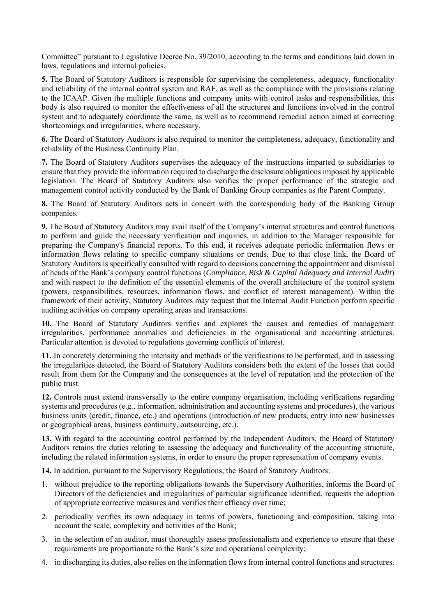Committee" pursuant to Legislative Decree No. 39/2010, according to the terms and conditions laid down in laws, regulations and internal policies.

**5.** The Board of Statutory Auditors is responsible for supervising the completeness, adequacy, functionality and reliability of the internal control system and RAF, as well as the compliance with the provisions relating to the ICAAP. Given the multiple functions and company units with control tasks and responsibilities, this body is also required to monitor the effectiveness of all the structures and functions involved in the control system and to adequately coordinate the same, as well as to recommend remedial action aimed at correcting shortcomings and irregularities, where necessary.

**6.** The Board of Statutory Auditors is also required to monitor the completeness, adequacy, functionality and reliability of the Business Continuity Plan.

**7.** The Board of Statutory Auditors supervises the adequacy of the instructions imparted to subsidiaries to ensure that they provide the information required to discharge the disclosure obligations imposed by applicable legislation. The Board of Statutory Auditors also verifies the proper performance of the strategic and management control activity conducted by the Bank of Banking Group companies as the Parent Company.

**8.** The Board of Statutory Auditors acts in concert with the corresponding body of the Banking Group companies.

**9.** The Board of Statutory Auditors may avail itself of the Company's internal structures and control functions to perform and guide the necessary verification and inquiries, in addition to the Manager responsible for preparing the Company's financial reports. To this end, it receives adequate periodic information flows or information flows relating to specific company situations or trends. Due to that close link, the Board of Statutory Auditors is specifically consulted with regard to decisions concerning the appointment and dismissal of heads of the Bank's company control functions (*Compliance, Risk & Capital Adequacy and Internal Audit*) and with respect to the definition of the essential elements of the overall architecture of the control system (powers, responsibilities, resources, information flows, and conflict of interest management). Within the framework of their activity, Statutory Auditors may request that the Internal Audit Function perform specific auditing activities on company operating areas and transactions.

**10.** The Board of Statutory Auditors verifies and explores the causes and remedies of management irregularities, performance anomalies and deficiencies in the organisational and accounting structures. Particular attention is devoted to regulations governing conflicts of interest.

**11.** In concretely determining the intensity and methods of the verifications to be performed, and in assessing the irregularities detected, the Board of Statutory Auditors considers both the extent of the losses that could result from them for the Company and the consequences at the level of reputation and the protection of the public trust.

**12.** Controls must extend transversally to the entire company organisation, including verifications regarding systems and procedures (e.g., information, administration and accounting systems and procedures), the various business units (credit, finance, etc.) and operations (introduction of new products, entry into new businesses or geographical areas, business continuity, outsourcing, etc.).

**13.** With regard to the accounting control performed by the Independent Auditors, the Board of Statutory Auditors retains the duties relating to assessing the adequacy and functionality of the accounting structure, including the related information systems, in order to ensure the proper representation of company events.

**14.** In addition, pursuant to the Supervisory Regulations, the Board of Statutory Auditors:

- 1. without prejudice to the reporting obligations towards the Supervisory Authorities, informs the Board of Directors of the deficiencies and irregularities of particular significance identified, requests the adoption of appropriate corrective measures and verifies their efficacy over time;
- 2. periodically verifies its own adequacy in terms of powers, functioning and composition, taking into account the scale, complexity and activities of the Bank;
- 3. in the selection of an auditor, must thoroughly assess professionalism and experience to ensure that these requirements are proportionate to the Bank's size and operational complexity;
- 4. in discharging its duties, also relies on the information flows from internal control functions and structures.